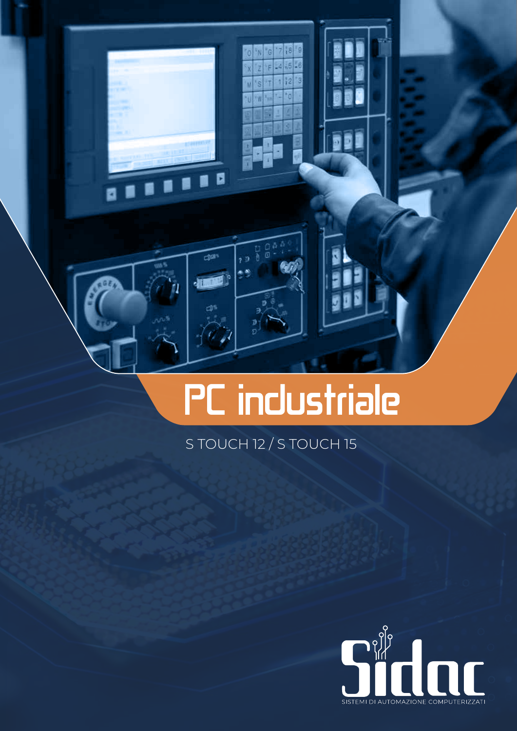# PC industriale

Fg  $|s|$ 56 Je.

13 I2

ś Ŵ

d

 $-11$ 

7 O

Ō

### S TOUCH 12 / S TOUCH 15

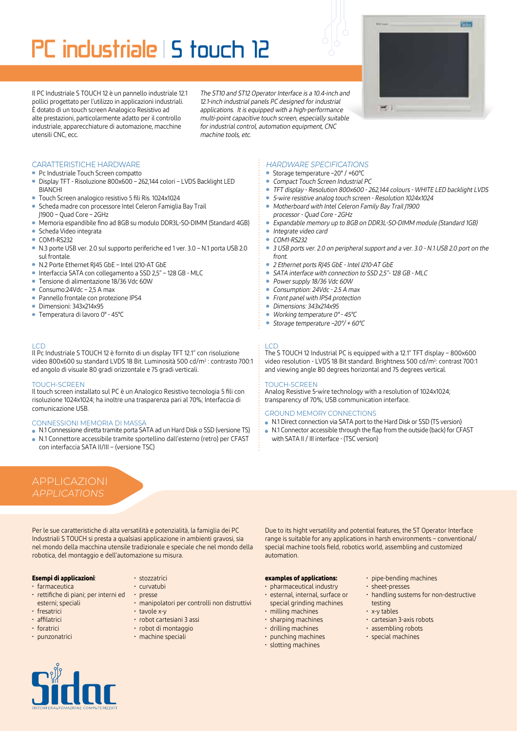# PC industriale S touch 12

**Bitte**  $-11$ 

Il PC Industriale S TOUCH 12 è un pannello industriale 12.1 pollici progettato per l'utilizzo in applicazioni industriali. È dotato di un touch screen Analogico Resistivo ad alte prestazioni, particolarmente adatto per il controllo industriale, apparecchiature di automazione, macchine utensili CNC, ecc.

The ST10 and ST12 Operator Interface is a 10.4-inch and 12.1-inch industrial panels PC designed for industrial applications. It is equipped with a high-performance multi-point capacitive touch screen, especially suitable for industrial control, automation equipment, CNC machine tools, etc.

#### CARATTERISTICHE HARDWARE

- Pc Industriale Touch Screen compatto
- Display TFT Risoluzione 800x600 262,144 colori LVDS Backlight LED **BIANCHI**
- Touch Screen analogico resistivo 5 fili Ris. 1024x1024
- Scheda madre con processore Intel Celeron Famiglia Bay Trail J1900 – Quad Core – 2GHz
- Memoria espandibile fino ad 8GB su modulo DDR3L-SO-DIMM (Standard 4GB)
- Scheda Video integrata
- COM1-RS232
- N.3 porte USB ver. 2.0 sul supporto periferiche ed 1 ver. 3.0 N.1 porta USB 2.0 sul frontale.
- N.2 Porte Ethernet RJ45 GbE Intel I210-AT GbE
- Interfaccia SATA con collegamento a SSD 2,5" 128 GB MLC
- Tensione di alimentazione 18/36 Vdc 60W
- Consumo:24Vdc 2,5 A max
- Pannello frontale con protezione IP54
- Dimensioni: 343x214x95
- Temperatura di lavoro 0° 45°C

#### LCD

Il Pc Industriale S TOUCH 12 è fornito di un display TFT 12.1" con risoluzione video 800x600 su standard LVDS 18 Bit. Luminosità 500 cd/m2 : contrasto 700:1 ed angolo di visuale 80 gradi orizzontale e 75 gradi verticali.

#### TOUCH-SCREEN

Il touch screen installato sul PC è un Analogico Resistivo tecnologia 5 fili con risoluzione 1024x1024; ha inoltre una trasparenza pari al 70%; Interfaccia di comunicazione USB.

#### CONNESSIONI MEMORIA DI MASSA

- N.1 Connessione diretta tramite porta SATA ad un Hard Disk o SSD (versione TS)
- N.1 Connettore accessibile tramite sportellino dall'esterno (retro) per CFAST con interfaccia SATA II/III – (versione TSC)

## APPLICAZIONI

Per le sue caratteristiche di alta versatilità e potenzialità, la famiglia dei PC Industriali S TOUCH si presta a qualsiasi applicazione in ambienti gravosi, sia nel mondo della macchina utensile tradizionale e speciale che nel mondo della robotica, del montaggio e dell'automazione su misura.

#### **Esempi di applicazioni**:

- farmaceutica
- rettifiche di piani; per interni ed esterni; speciali
- fresatrici
- affilatrici
- foratrici
- punzonatrici
- stozzatrici • curvatubi
- 
- presse
- manipolatori per controlli non distruttivi
- tavole x-y
- robot cartesiani 3 assi
- robot di montaggio
- machine speciali

#### *HARDWARE SPECIFICATIONS*

- Storage temperature –20° / +60°C
- $\bullet$ Compact Touch Screen Industrial PC
- $\ddot{\phantom{a}}$ TFT display - Resolution 800x600 - 262,144 colours - WHITE LED backlight LVDS
- 5-wire resistive analog touch screen Resolution 1024x1024
- $\bullet$ Motherboard with Intel Celeron Family Bay Trail J1900
- processor Quad Core 2GHz Expandable memory up to 8GB on DDR3L-SO-DIMM module (Standard 1GB)
- Integrate video card
- COM1-RS232
- 3 USB ports ver. 2.0 on peripheral support and a ver. 3.0 N.1 USB 2.0 port on the  $\bullet$ front.
- $\ddot{\phantom{a}}$ 2 Ethernet ports RJ45 GbE - Intel I210-AT GbE
- SATA interface with connection to SSD 2,5"- 128 GB MLC
- $\ddot{\phantom{a}}$ Power supply 18/36 Vdc 60W
- Consumption: 24Vdc 2.5 A max
- $\ddot{\phantom{a}}$ Front panel with IP54 protection
- ٠ Dimensions: 343x214x95
- Working temperature 0° 45°C
- Storage temperature –20°/ + 60°C

#### LCD

The S TOUCH 12 Industrial PC is equipped with a 12.1" TFT display – 800x600 video resolution - LVDS 18 Bit standard. Brightness 500 cd/m<sup>2</sup>: contrast 700:1 and viewing angle 80 degrees horizontal and 75 degrees vertical.

#### TOUCH-SCREEN

Analog Resistive 5-wire technology with a resolution of 1024x1024; transparency of 70%; USB communication interface.

#### GROUND MEMORY CONNECTIONS

- N.1 Direct connection via SATA port to the Hard Disk or SSD (TS version)
- N.1 Connector accessible through the flap from the outside (back) for CFAST with SATA II / III interface - (TSC version)

Due to its hight versatility and potential features, the ST Operator Interface range is suitable for any applications in harsh environments – conventional/ special machine tools field, robotics world, assembling and customized automation.

#### **examples of applications:**

- pharmaceutical industry • esternal, internal, surface or
- special grinding machines • milling machines
- sharping machines
- drilling machines
- punching machines
- slotting machines
- pipe-bending machines
- sheet-presses
- handling sustems for non-destructive testing • x-y tables
- cartesian 3-axis robots
- assembling robots
- special machines

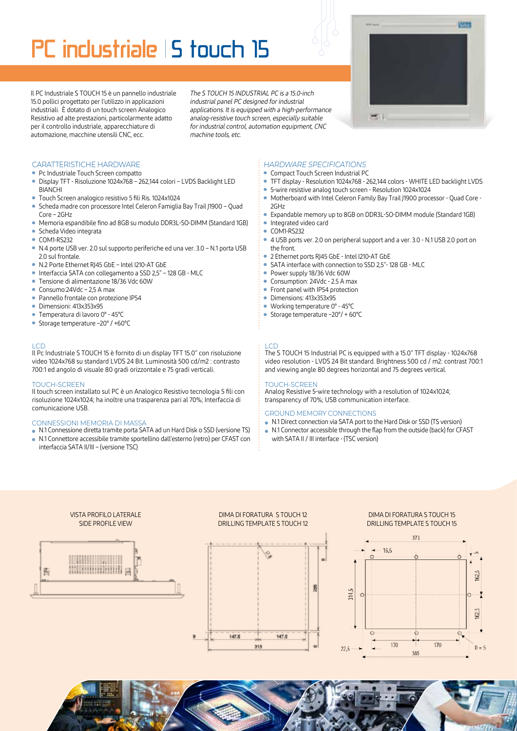## PC industriale 15 touch 15

Il PC Industriale S TOUCH 15 è un pannello industriale 15.0 pollici progettato per l'utilizzo in applicazioni industriali. È dotato di un touch screen Analogico Resistivo ad alte prestazioni, particolarmente adatto per il controllo industriale, apparecchiature di automazione, macchine utensili CNC, ecc.

The S TOUCH 15 INDUSTRIAL PC is a 15.0-inch industrial panel PC designed for industrial applications. It is equipped with a high-performance analog-resistive touch screen, especially suitable for industrial control, automation equipment, CNC machine tools, etc.



- Pc Industriale Touch Screen compatto
- Display TFT Risoluzione 1024x768 262,144 colori LVDS Backlight LED **BIANCHI**
- Touch Screen analogico resistivo 5 fili Ris. 1024x1024
- Scheda madre con processore Intel Celeron Famiglia Bay Trail J1900 Quad Core – 2GHz
- Memoria espandibile fino ad 8GB su modulo DDR3L-SO-DIMM (Standard 1GB)
- Scheda Video integrata
- COM1-RS232
- N.4 porte USB ver. 2.0 sul supporto periferiche ed una ver. 3.0 N.1 porta USB 2.0 sul frontale.
- N.2 Porte Ethernet RJ45 GbE Intel I210-AT GbE
- Interfaccia SATA con collegamento a SSD 2,5" 128 GB MLC
- Tensione di alimentazione 18/36 Vdc 60W
- Consumo:24Vdc 2,5 A max
- Pannello frontale con protezione IP54
- Dimensioni: 413x353x95
- Temperatura di lavoro 0° 45°C
- Storage temperature –20° / +60°C

#### LCD

Il Pc Industriale S TOUCH 15 è fornito di un display TFT 15.0" con risoluzione video 1024x768 su standard LVDS 24 Bit. Luminosità 500 cd/m2 : contrasto 700:1 ed angolo di visuale 80 gradi orizzontale e 75 gradi verticali.

#### TOUCH-SCREEN

Il touch screen installato sul PC è un Analogico Resistivo tecnologia 5 fili con risoluzione 1024x1024; ha inoltre una trasparenza pari al 70%; Interfaccia di comunicazione USB.

#### CONNESSIONI MEMORIA DI MASSA

- N.1 Connessione diretta tramite porta SATA ad un Hard Disk o SSD (versione TS)
- N.1 Connettore accessibile tramite sportellino dall'esterno (retro) per CFAST con interfaccia SATA II/III – (versione TSC)

#### *HARDWARE SPECIFICATIONS*

- $\bullet$ Compact Touch Screen Industrial PC
- TFT display Resolution 1024x768 262,144 colors WHITE LED backlight LVDS
- 5-wire resistive analog touch screen Resolution 1024x1024
- Motherboard with Intel Celeron Family Bay Trail J1900 processor Quad Core 2GHz
- Expandable memory up to 8GB on DDR3L-SO-DIMM module (Standard 1GB) **•** Integrated video card
- $\bullet$ COM1-RS232
- 4 USB ports ver. 2.0 on peripheral support and a ver. 3.0 N.1 USB 2.0 port on the front.
- 2 Ethernet ports RJ45 GbE Intel I210-AT GbE
- $\bullet$ SATA interface with connection to SSD 2,5"- 128 GB - MLC
- Power supply 18/36 Vdc 60W
- Consumption: 24Vdc 2.5 A max
- $\bullet$ Front panel with IP54 protection
- Dimensions: 413x353x95
- $\bullet$ Working temperature 0° - 45°C
- Storage temperature –20°/ + 60°C

#### **LCD**

The S TOUCH 15 Industrial PC is equipped with a 15.0" TFT display - 1024x768 video resolution - LVDS 24 Bit standard. Brightness 500 cd / m2: contrast 700:1 and viewing angle 80 degrees horizontal and 75 degrees vertical.

#### TOUCH-SCREEN

Analog Resistive 5-wire technology with a resolution of 1024x1024; transparency of 70%; USB communication interface.

#### GROUND MEMORY CONNECTIONS

- N.1 Direct connection via SATA port to the Hard Disk or SSD (TS version)
- N.1 Connector accessible through the flap from the outside (back) for CFAST with SATA II / III interface - (TSC version)